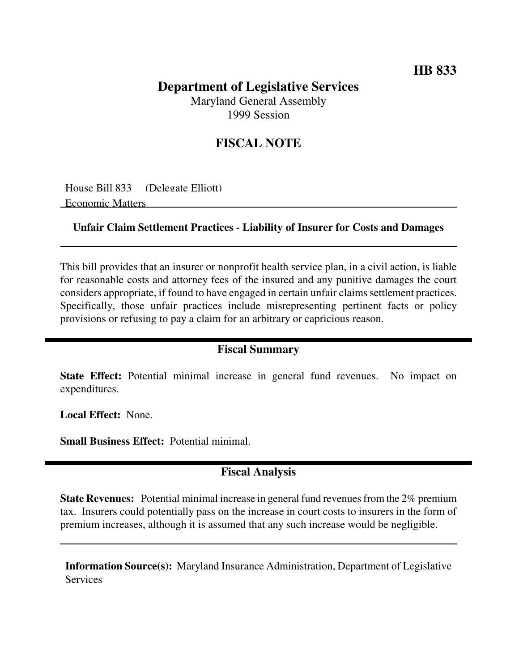## **HB 833**

# **Department of Legislative Services**

Maryland General Assembly 1999 Session

## **FISCAL NOTE**

House Bill 833 (Delegate Elliott) Economic Matters

#### **Unfair Claim Settlement Practices - Liability of Insurer for Costs and Damages**

This bill provides that an insurer or nonprofit health service plan, in a civil action, is liable for reasonable costs and attorney fees of the insured and any punitive damages the court considers appropriate, if found to have engaged in certain unfair claims settlement practices. Specifically, those unfair practices include misrepresenting pertinent facts or policy provisions or refusing to pay a claim for an arbitrary or capricious reason.

#### **Fiscal Summary**

**State Effect:** Potential minimal increase in general fund revenues. No impact on expenditures.

**Local Effect:** None.

**Small Business Effect:** Potential minimal.

### **Fiscal Analysis**

**State Revenues:** Potential minimal increase in general fund revenues from the 2% premium tax. Insurers could potentially pass on the increase in court costs to insurers in the form of premium increases, although it is assumed that any such increase would be negligible.

**Information Source(s):** Maryland Insurance Administration, Department of Legislative **Services**